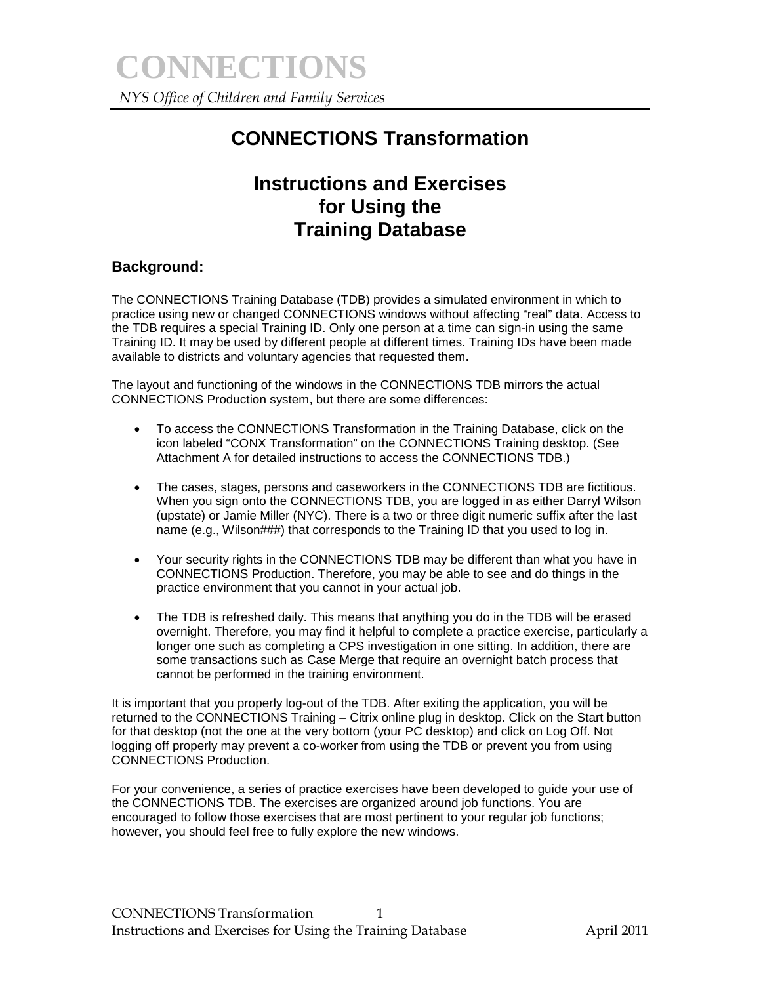# **CONNECTIONS Transformation**

## **Instructions and Exercises for Using the Training Database**

## **Background:**

The CONNECTIONS Training Database (TDB) provides a simulated environment in which to practice using new or changed CONNECTIONS windows without affecting "real" data. Access to the TDB requires a special Training ID. Only one person at a time can sign-in using the same Training ID. It may be used by different people at different times. Training IDs have been made available to districts and voluntary agencies that requested them.

The layout and functioning of the windows in the CONNECTIONS TDB mirrors the actual CONNECTIONS Production system, but there are some differences:

- To access the CONNECTIONS Transformation in the Training Database, click on the icon labeled "CONX Transformation" on the CONNECTIONS Training desktop. (See Attachment A for detailed instructions to access the CONNECTIONS TDB.)
- The cases, stages, persons and caseworkers in the CONNECTIONS TDB are fictitious. When you sign onto the CONNECTIONS TDB, you are logged in as either Darryl Wilson (upstate) or Jamie Miller (NYC). There is a two or three digit numeric suffix after the last name (e.g., Wilson###) that corresponds to the Training ID that you used to log in.
- Your security rights in the CONNECTIONS TDB may be different than what you have in CONNECTIONS Production. Therefore, you may be able to see and do things in the practice environment that you cannot in your actual job.
- The TDB is refreshed daily. This means that anything you do in the TDB will be erased overnight. Therefore, you may find it helpful to complete a practice exercise, particularly a longer one such as completing a CPS investigation in one sitting. In addition, there are some transactions such as Case Merge that require an overnight batch process that cannot be performed in the training environment.

It is important that you properly log-out of the TDB. After exiting the application, you will be returned to the CONNECTIONS Training – Citrix online plug in desktop. Click on the Start button for that desktop (not the one at the very bottom (your PC desktop) and click on Log Off. Not logging off properly may prevent a co-worker from using the TDB or prevent you from using CONNECTIONS Production.

For your convenience, a series of practice exercises have been developed to guide your use of the CONNECTIONS TDB. The exercises are organized around job functions. You are encouraged to follow those exercises that are most pertinent to your regular job functions; however, you should feel free to fully explore the new windows.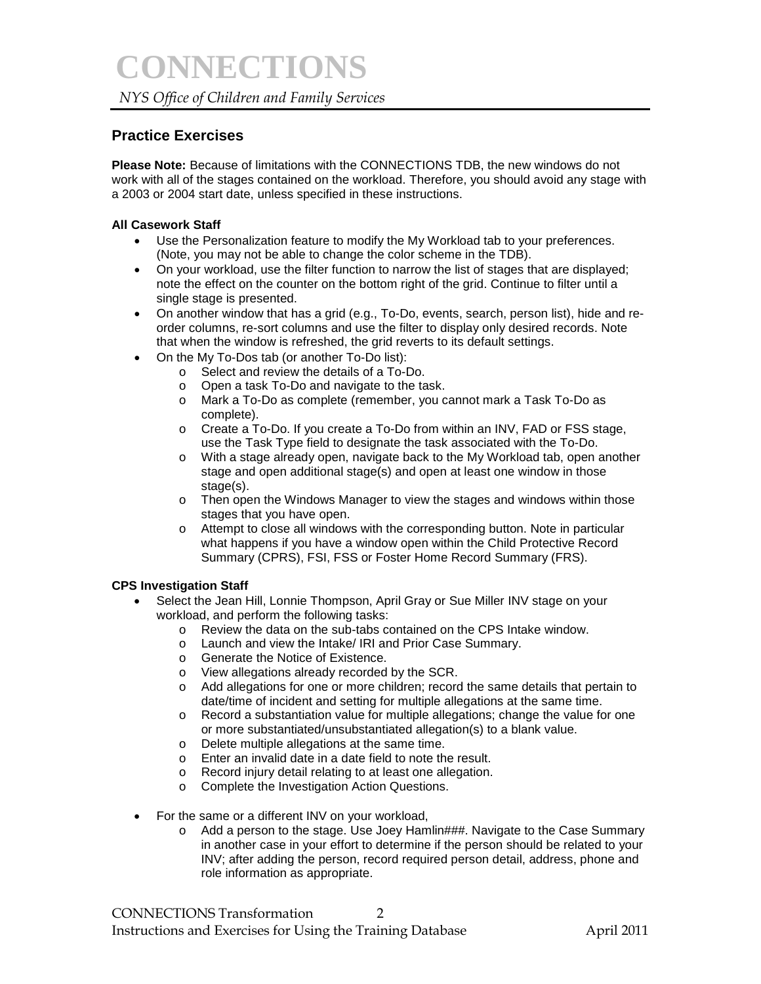### *NYS Office of Children and Family Services*

### **Practice Exercises**

**Please Note:** Because of limitations with the CONNECTIONS TDB, the new windows do not work with all of the stages contained on the workload. Therefore, you should avoid any stage with a 2003 or 2004 start date, unless specified in these instructions.

#### **All Casework Staff**

- Use the Personalization feature to modify the My Workload tab to your preferences. (Note, you may not be able to change the color scheme in the TDB).
- On your workload, use the filter function to narrow the list of stages that are displayed; note the effect on the counter on the bottom right of the grid. Continue to filter until a single stage is presented.
- On another window that has a grid (e.g., To-Do, events, search, person list), hide and reorder columns, re-sort columns and use the filter to display only desired records. Note that when the window is refreshed, the grid reverts to its default settings.
- On the My To-Dos tab (or another To-Do list):
	- o Select and review the details of a To-Do.
	- o Open a task To-Do and navigate to the task.
	- o Mark a To-Do as complete (remember, you cannot mark a Task To-Do as complete).
	- o Create a To-Do. If you create a To-Do from within an INV, FAD or FSS stage, use the Task Type field to designate the task associated with the To-Do.
	- o With a stage already open, navigate back to the My Workload tab, open another stage and open additional stage(s) and open at least one window in those stage(s).
	- o Then open the Windows Manager to view the stages and windows within those stages that you have open.
	- o Attempt to close all windows with the corresponding button. Note in particular what happens if you have a window open within the Child Protective Record Summary (CPRS), FSI, FSS or Foster Home Record Summary (FRS).

#### **CPS Investigation Staff**

- Select the Jean Hill, Lonnie Thompson, April Gray or Sue Miller INV stage on your workload, and perform the following tasks:
	- o Review the data on the sub-tabs contained on the CPS Intake window.
	- o Launch and view the Intake/ IRI and Prior Case Summary.
	- o Generate the Notice of Existence.
	- o View allegations already recorded by the SCR.
	- o Add allegations for one or more children; record the same details that pertain to date/time of incident and setting for multiple allegations at the same time.
	- o Record a substantiation value for multiple allegations; change the value for one or more substantiated/unsubstantiated allegation(s) to a blank value.
	- o Delete multiple allegations at the same time.
	- o Enter an invalid date in a date field to note the result.
	- o Record injury detail relating to at least one allegation.
	- o Complete the Investigation Action Questions.
- For the same or a different INV on your workload,
	- o Add a person to the stage. Use Joey Hamlin###. Navigate to the Case Summary in another case in your effort to determine if the person should be related to your INV; after adding the person, record required person detail, address, phone and role information as appropriate.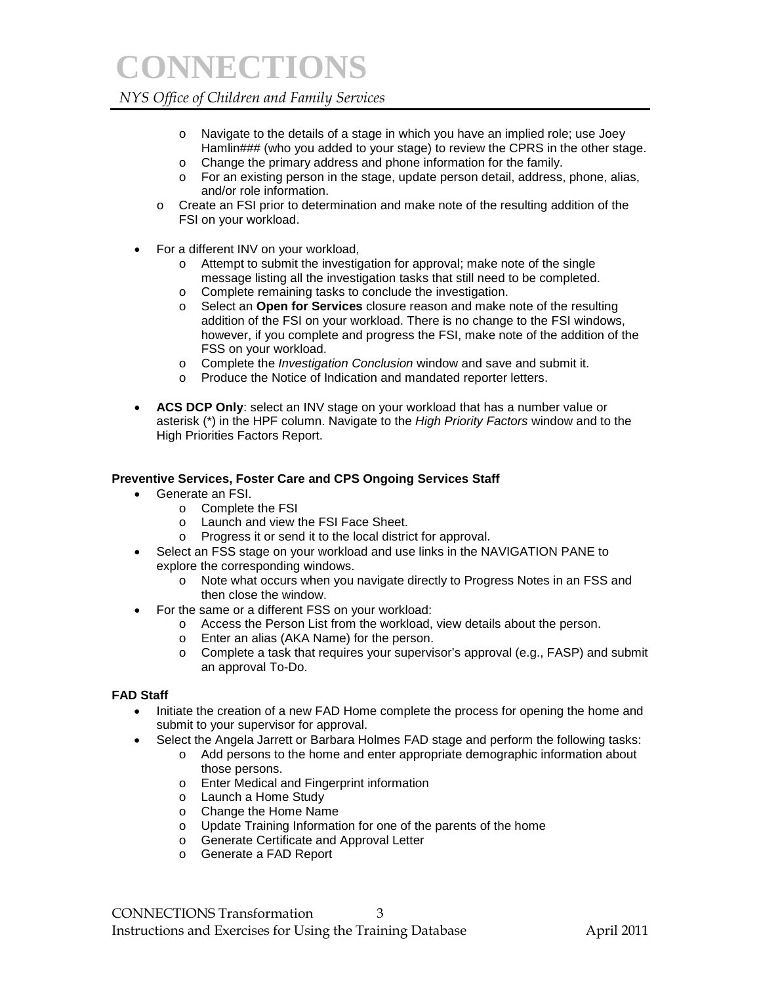**CONNECTIONS**

### *NYS Office of Children and Family Services*

- o Navigate to the details of a stage in which you have an implied role; use Joey Hamlin### (who you added to your stage) to review the CPRS in the other stage.
- o Change the primary address and phone information for the family.
- o For an existing person in the stage, update person detail, address, phone, alias, and/or role information.
- o Create an FSI prior to determination and make note of the resulting addition of the FSI on your workload.
- For a different INV on your workload,
	- o Attempt to submit the investigation for approval; make note of the single message listing all the investigation tasks that still need to be completed.
	- o Complete remaining tasks to conclude the investigation.
	- o Select an **Open for Services** closure reason and make note of the resulting addition of the FSI on your workload. There is no change to the FSI windows, however, if you complete and progress the FSI, make note of the addition of the FSS on your workload.
	- o Complete the *Investigation Conclusion* window and save and submit it.
	- o Produce the Notice of Indication and mandated reporter letters.
- ACS DCP Only: select an INV stage on your workload that has a number value or asterisk (\*) in the HPF column. Navigate to the *High Priority Factors* window and to the High Priorities Factors Report.

#### **Preventive Services, Foster Care and CPS Ongoing Services Staff**

- Generate an FSI.
	- o Complete the FSI
	- o Launch and view the FSI Face Sheet.
	- o Progress it or send it to the local district for approval.
- Select an FSS stage on your workload and use links in the NAVIGATION PANE to explore the corresponding windows.
	- o Note what occurs when you navigate directly to Progress Notes in an FSS and then close the window.
- For the same or a different FSS on your workload:
	- o Access the Person List from the workload, view details about the person.
	- o Enter an alias (AKA Name) for the person.
	- o Complete a task that requires your supervisor's approval (e.g., FASP) and submit an approval To-Do.

#### **FAD Staff**

- Initiate the creation of a new FAD Home complete the process for opening the home and submit to your supervisor for approval.
- Select the Angela Jarrett or Barbara Holmes FAD stage and perform the following tasks:
	- o Add persons to the home and enter appropriate demographic information about those persons.
		- o Enter Medical and Fingerprint information
	- o Launch a Home Study
	- o Change the Home Name
	- o Update Training Information for one of the parents of the home
	- o Generate Certificate and Approval Letter
	- o Generate a FAD Report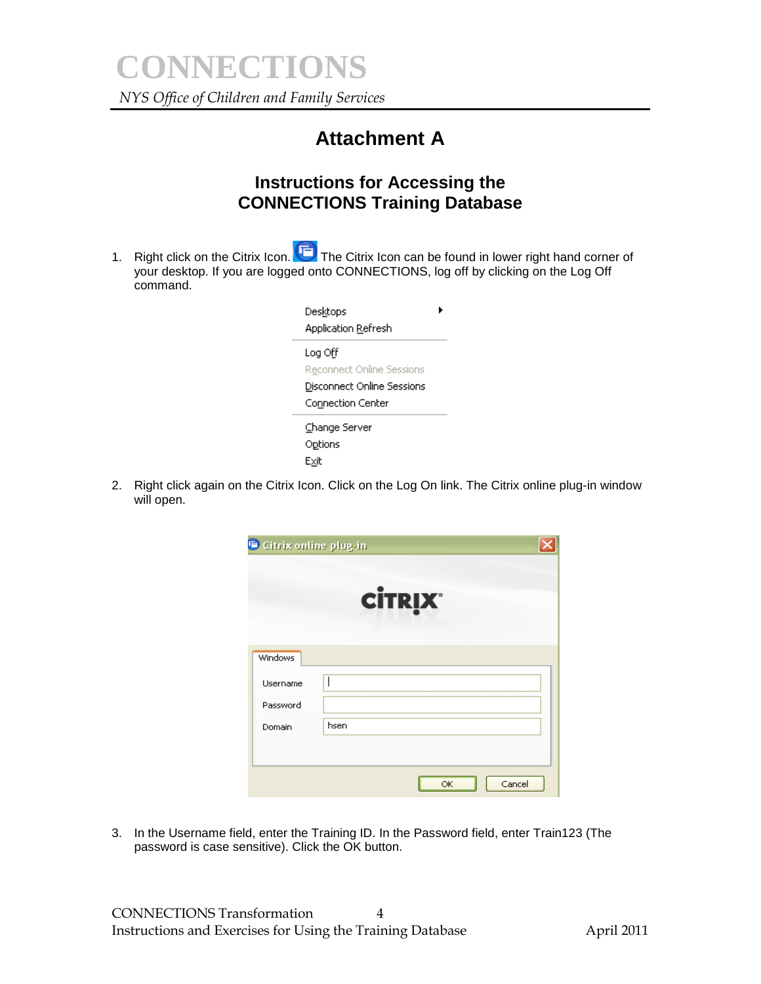# **Attachment A**

## **Instructions for Accessing the CONNECTIONS Training Database**

1. Right click on the Citrix Icon. The Citrix Icon can be found in lower right hand corner of your desktop. If you are logged onto CONNECTIONS, log off by clicking on the Log Off command.

| Desktops<br>Application Refresh                                                                       |  |
|-------------------------------------------------------------------------------------------------------|--|
| Log Off<br><b>Reconnect Online Sessions</b><br><b>Disconnect Online Sessions</b><br>Connection Center |  |
| Change Server<br>Options<br>Exit                                                                      |  |

2. Right click again on the Citrix Icon. Click on the Log On link. The Citrix online plug-in window will open.

| Windows<br>Username<br>Password<br>hsen<br>Domain |  |  |  |
|---------------------------------------------------|--|--|--|
|                                                   |  |  |  |
|                                                   |  |  |  |
|                                                   |  |  |  |
|                                                   |  |  |  |
|                                                   |  |  |  |

3. In the Username field, enter the Training ID. In the Password field, enter Train123 (The password is case sensitive). Click the OK button.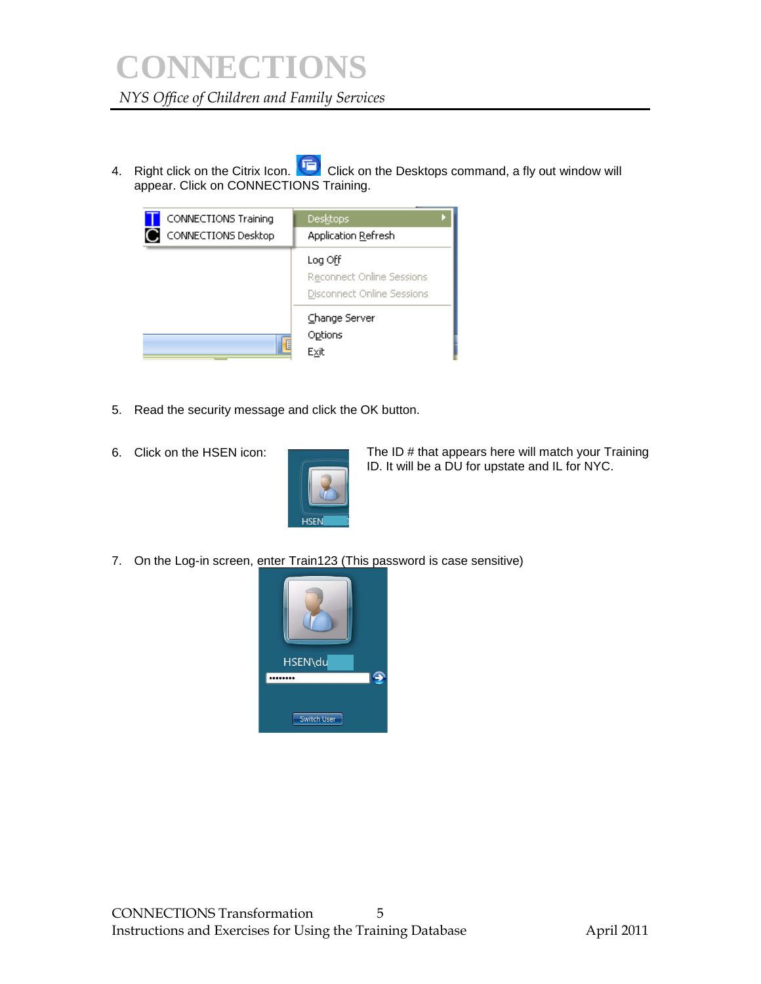4. Right click on the Citrix Icon. Click on the Desktops command, a fly out window will appear. Click on CONNECTIONS Training.

| CONNECTIONS Training<br>CONNECTIONS Desktop | <b>Desktops</b><br>Application Refresh                             |
|---------------------------------------------|--------------------------------------------------------------------|
|                                             | Log Off<br>Reconnect Online Sessions<br>Disconnect Online Sessions |
| E                                           | Change Server<br>Options<br>Exit                                   |

- 5. Read the security message and click the OK button.
- 6. Click on the HSEN icon:



The ID # that appears here will match your Training ID. It will be a DU for upstate and IL for NYC.

7. On the Log-in screen, enter Train123 (This password is case sensitive)